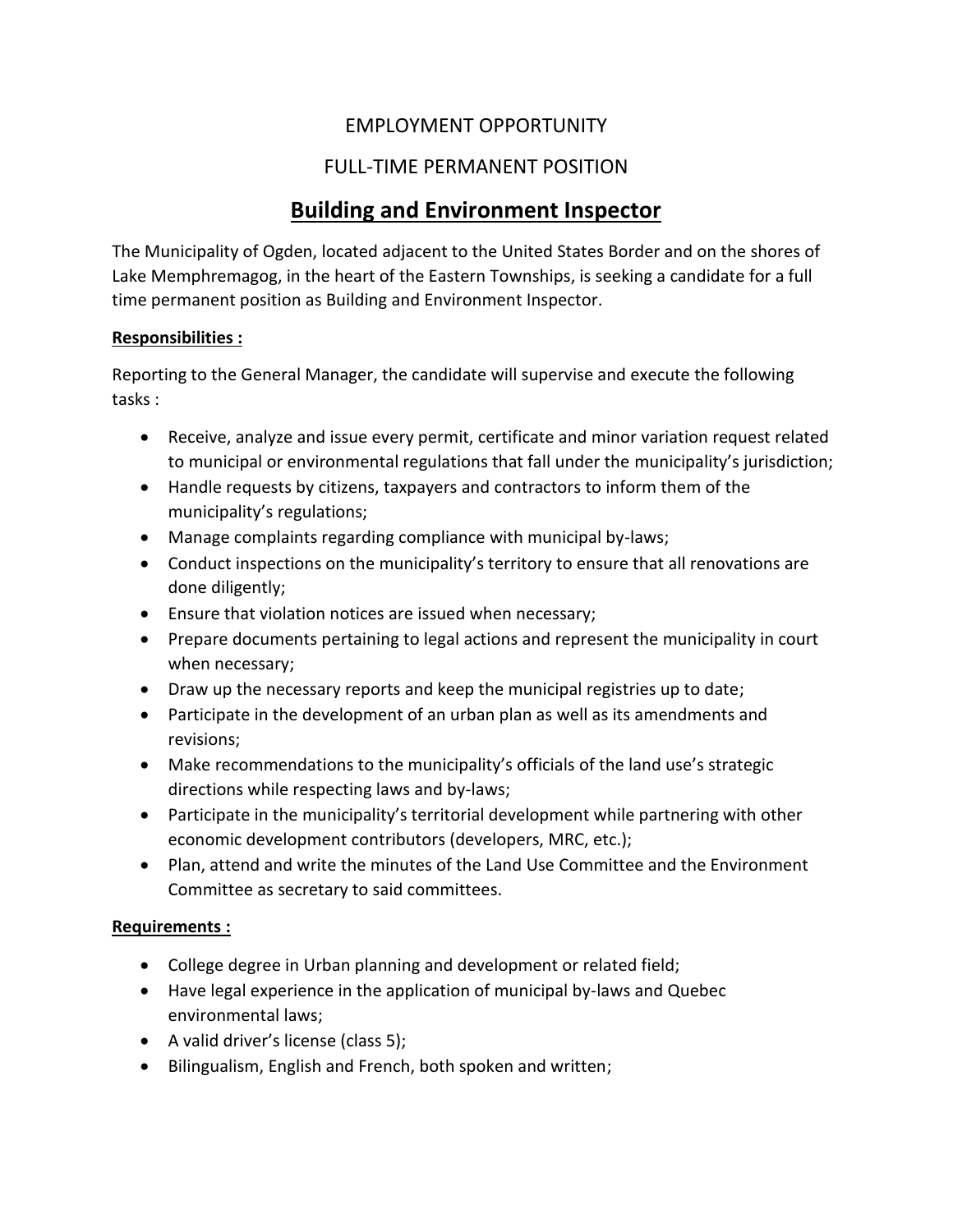## EMPLOYMENT OPPORTUNITY

## FULL-TIME PERMANENT POSITION

# **Building and Environment Inspector**

The Municipality of Ogden, located adjacent to the United States Border and on the shores of Lake Memphremagog, in the heart of the Eastern Townships, is seeking a candidate for a full time permanent position as Building and Environment Inspector.

### **Responsibilities :**

Reporting to the General Manager, the candidate will supervise and execute the following tasks :

- Receive, analyze and issue every permit, certificate and minor variation request related to municipal or environmental regulations that fall under the municipality's jurisdiction;
- Handle requests by citizens, taxpayers and contractors to inform them of the municipality's regulations;
- Manage complaints regarding compliance with municipal by-laws;
- Conduct inspections on the municipality's territory to ensure that all renovations are done diligently;
- Ensure that violation notices are issued when necessary;
- Prepare documents pertaining to legal actions and represent the municipality in court when necessary;
- Draw up the necessary reports and keep the municipal registries up to date;
- Participate in the development of an urban plan as well as its amendments and revisions;
- Make recommendations to the municipality's officials of the land use's strategic directions while respecting laws and by-laws;
- Participate in the municipality's territorial development while partnering with other economic development contributors (developers, MRC, etc.);
- Plan, attend and write the minutes of the Land Use Committee and the Environment Committee as secretary to said committees.

### **Requirements :**

- College degree in Urban planning and development or related field;
- Have legal experience in the application of municipal by-laws and Quebec environmental laws;
- A valid driver's license (class 5);
- Bilingualism, English and French, both spoken and written;